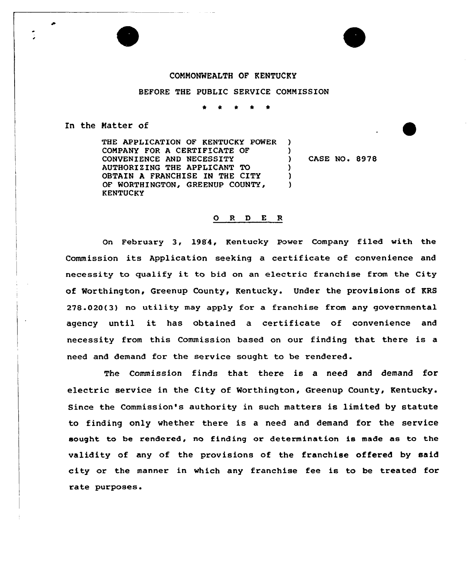## COMMONWEALTH OF KENTUCKY

## BEFORE THE PUBLIC SERVICE CONNISSION

\* \* \* l \*

In the Matter of

THE APPLICATION OF KENTUCKY POWER CONPANY FOR A CERTIFICATE OF CONVENIENCE AND NECESSITY AUTHORIZING THE APPLICANT TO OBTAIN A FRANCHISE IN THE CITY OF WORTHINGTON, GREENUP COUNTY, ) ) ) )

) CASE NO. 8978

## O R D E R

)

On February 3, 1984, Kentucky Power Company filed with the Commission its Application seeking a certificate of convenience and necessity to gualify it to bid on an electric franchise from the City of Worthington, Greenup County, Kentucky. Under the provisions of KRS 278.020(3) no utility may apply for a franchise from any governmental agency until it has obtained a certificate of convenience and necessity fxom this Commission based on our finding that there is a need and demand for the service sought to be rendered.

The Commission finds that there is a need and demand for electric service in the City of Worthington, Greenup County, Kentucky. Since the Commission's authority in such matters is limited by statute to finding only whether there is a need and demand for the service sought to be rendered, no finding or determination is made as to the validity of any of the provisions of the franchise offered by said city or the manner in which any franchise fee is to be treated for rate puxposes.